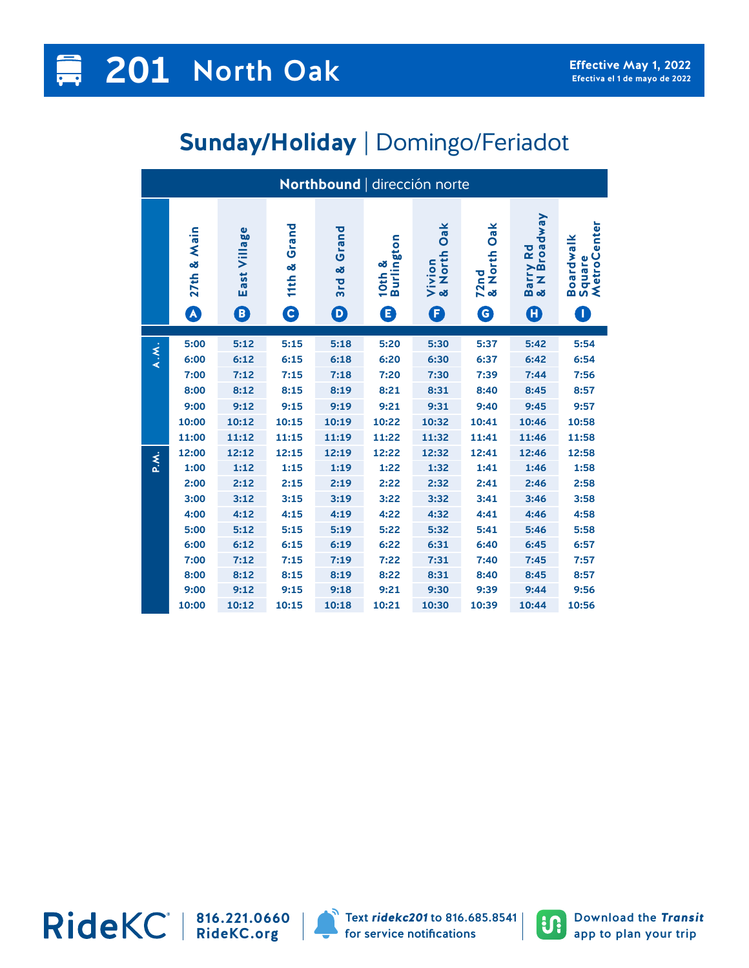## **Sunday/Holiday** | Domingo/Feriadot

| Northbound   dirección norte |                       |                 |                 |                       |                      |                          |                        |                          |                                               |  |
|------------------------------|-----------------------|-----------------|-----------------|-----------------------|----------------------|--------------------------|------------------------|--------------------------|-----------------------------------------------|--|
|                              | & Main<br>27th        | Village<br>East | Grand<br>11th & | Grand<br>න්<br>3rd    | 10th &<br>Burlington | Oak<br>Vivion<br>& North | Oak<br>72nd<br>& North | Barry Rd<br>& N Broadway | enter<br>Boardwalk<br>Square<br><b>MetroC</b> |  |
|                              | $\boldsymbol{\Omega}$ | ❶               | $\bullet$       | $\boldsymbol{\Theta}$ | ❶                    | G                        | $\bullet$              | O                        | D                                             |  |
|                              | 5:00                  | 5:12            | 5:15            | 5:18                  | 5:20                 | 5:30                     | 5:37                   | 5:42                     | 5:54                                          |  |
| A.M.                         | 6:00                  | 6:12            | 6:15            | 6:18                  | 6:20                 | 6:30                     | 6:37                   | 6:42                     | 6:54                                          |  |
|                              | 7:00                  | 7:12            | 7:15            | 7:18                  | 7:20                 | 7:30                     | 7:39                   | 7:44                     | 7:56                                          |  |
|                              | 8:00                  | 8:12            | 8:15            | 8:19                  | 8:21                 | 8:31                     | 8:40                   | 8:45                     | 8:57                                          |  |
|                              | 9:00                  | 9:12            | 9:15            | 9:19                  | 9:21                 | 9:31                     | 9:40                   | 9:45                     | 9:57                                          |  |
|                              | 10:00                 | 10:12           | 10:15           | 10:19                 | 10:22                | 10:32                    | 10:41                  | 10:46                    | 10:58                                         |  |
|                              | 11:00                 | 11:12           | 11:15           | 11:19                 | 11:22                | 11:32                    | 11:41                  | 11:46                    | 11:58                                         |  |
| P.M.                         | 12:00                 | 12:12           | 12:15           | 12:19                 | 12:22                | 12:32                    | 12:41                  | 12:46                    | 12:58                                         |  |
|                              | 1:00                  | 1:12            | 1:15            | 1:19                  | 1:22                 | 1:32                     | 1:41                   | 1:46                     | 1:58                                          |  |
|                              | 2:00                  | 2:12            | 2:15            | 2:19                  | 2:22                 | 2:32                     | 2:41                   | 2:46                     | 2:58                                          |  |
|                              | 3:00                  | 3:12            | 3:15            | 3:19                  | 3:22                 | 3:32                     | 3:41                   | 3:46                     | 3:58                                          |  |
|                              | 4:00                  | 4:12            | 4:15            | 4:19                  | 4:22                 | 4:32                     | 4:41                   | 4:46                     | 4:58                                          |  |
|                              | 5:00                  | 5:12            | 5:15            | 5:19                  | 5:22                 | 5:32                     | 5:41                   | 5:46                     | 5:58                                          |  |
|                              | 6:00                  | 6:12            | 6:15            | 6:19                  | 6:22                 | 6:31                     | 6:40                   | 6:45                     | 6:57                                          |  |
|                              | 7:00                  | 7:12            | 7:15            | 7:19                  | 7:22                 | 7:31                     | 7:40                   | 7:45                     | 7:57                                          |  |
|                              | 8:00                  | 8:12            | 8:15            | 8:19                  | 8:22                 | 8:31                     | 8:40                   | 8:45                     | 8:57                                          |  |
|                              | 9:00                  | 9:12            | 9:15            | 9:18                  | 9:21                 | 9:30                     | 9:39                   | 9:44                     | 9:56                                          |  |
|                              | 10:00                 | 10:12           | 10:15           | 10:18                 | 10:21                | 10:30                    | 10:39                  | 10:44                    | 10:56                                         |  |

**816.221.0660 RideKC.org**



Text *ridekc201* to 816.685.8541 for service notifications